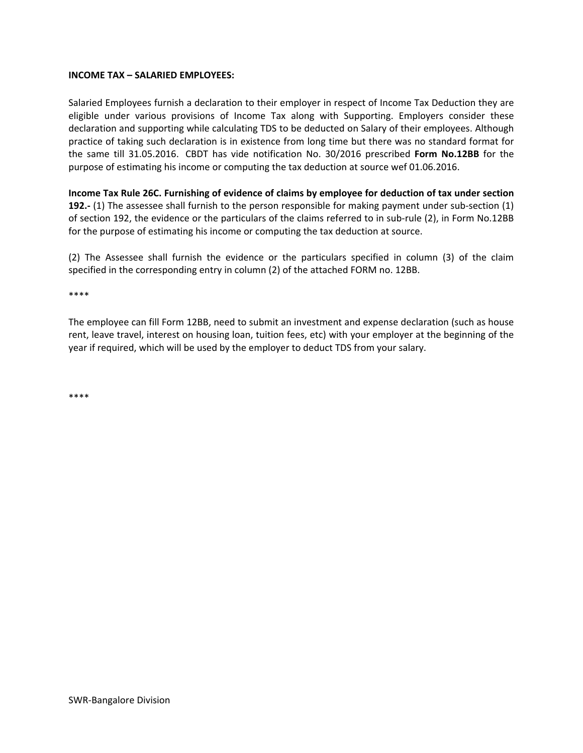#### **INCOME TAX – SALARIED EMPLOYEES:**

Salaried Employees furnish a declaration to their employer in respect of Income Tax Deduction they are eligible under various provisions of Income Tax along with Supporting. Employers consider these declaration and supporting while calculating TDS to be deducted on Salary of their employees. Although practice of taking such declaration is in existence from long time but there was no standard format for the same till 31.05.2016. CBDT has vide notification No. 30/2016 prescribed **Form No.12BB** for the purpose of estimating his income or computing the tax deduction at source wef 01.06.2016.

**Income Tax Rule 26C. Furnishing of evidence of claims by employee for deduction of tax under section 192.**- (1) The assessee shall furnish to the person responsible for making payment under sub-section (1) of section 192, the evidence or the particulars of the claims referred to in sub‐rule (2), in Form No.12BB for the purpose of estimating his income or computing the tax deduction at source.

(2) The Assessee shall furnish the evidence or the particulars specified in column (3) of the claim specified in the corresponding entry in column (2) of the attached FORM no. 12BB.

\*\*\*\*

The employee can fill Form 12BB, need to submit an investment and expense declaration (such as house rent, leave travel, interest on housing loan, tuition fees, etc) with your employer at the beginning of the year if required, which will be used by the employer to deduct TDS from your salary.

\*\*\*\*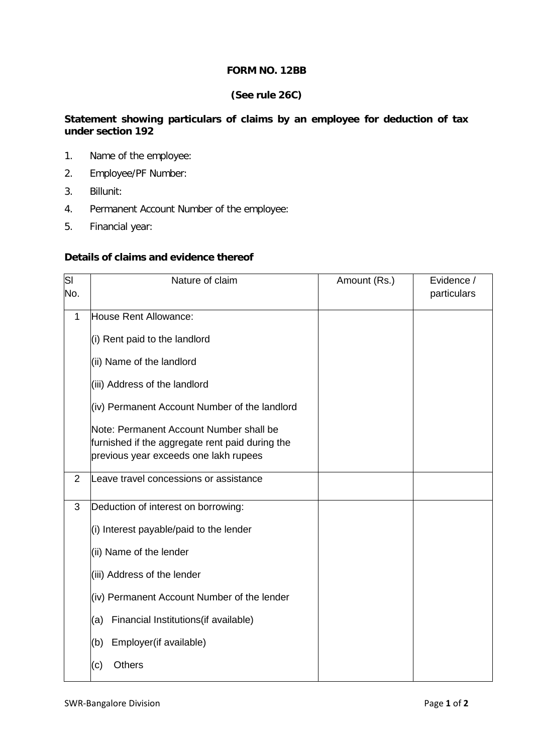### **FORM NO. 12BB**

# **(See rule 26C)**

### **Statement showing particulars of claims by an employee for deduction of tax under section 192**

- 1. Name of the employee:
- 2. Employee/PF Number:
- 3. Billunit:
- 4. Permanent Account Number of the employee:
- 5. Financial year:

#### **Details of claims and evidence thereof**

| SI<br>No.      | Nature of claim                                 | Amount (Rs.) | Evidence /<br>particulars |
|----------------|-------------------------------------------------|--------------|---------------------------|
|                |                                                 |              |                           |
| 1              | House Rent Allowance:                           |              |                           |
|                | (i) Rent paid to the landlord                   |              |                           |
|                | (ii) Name of the landlord                       |              |                           |
|                | (iii) Address of the landlord                   |              |                           |
|                | (iv) Permanent Account Number of the landlord   |              |                           |
|                | Note: Permanent Account Number shall be         |              |                           |
|                | furnished if the aggregate rent paid during the |              |                           |
|                | previous year exceeds one lakh rupees           |              |                           |
| $\overline{2}$ | Leave travel concessions or assistance          |              |                           |
| 3              | Deduction of interest on borrowing:             |              |                           |
|                | (i) Interest payable/paid to the lender         |              |                           |
|                | (ii) Name of the lender                         |              |                           |
|                | (iii) Address of the lender                     |              |                           |
|                | (iv) Permanent Account Number of the lender     |              |                           |
|                | Financial Institutions(if available)<br>(a)     |              |                           |
|                | Employer(if available)<br>(b)                   |              |                           |
|                | <b>Others</b><br>(c)                            |              |                           |